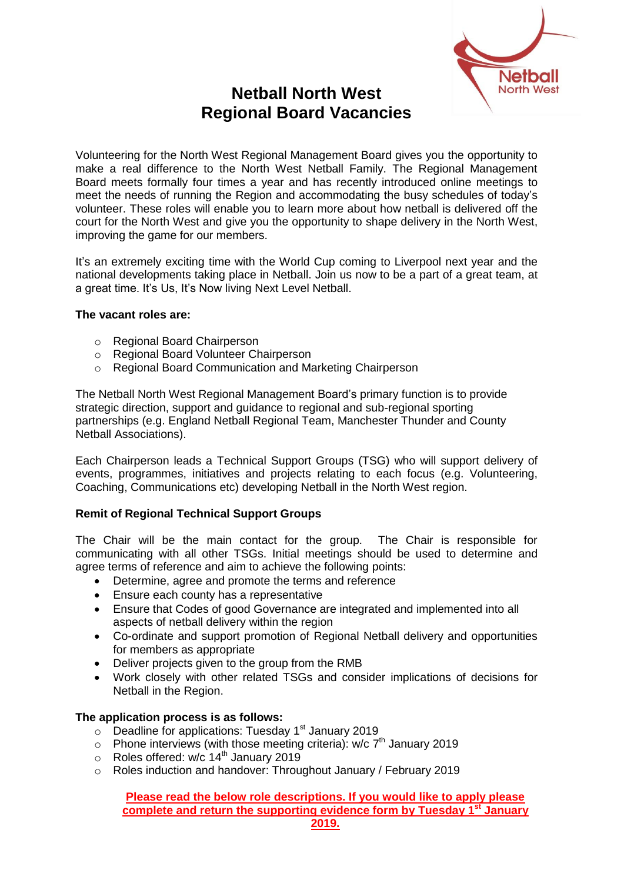

# **Netball North West Regional Board Vacancies**

Volunteering for the North West Regional Management Board gives you the opportunity to make a real difference to the North West Netball Family. The Regional Management Board meets formally four times a year and has recently introduced online meetings to meet the needs of running the Region and accommodating the busy schedules of today's volunteer. These roles will enable you to learn more about how netball is delivered off the court for the North West and give you the opportunity to shape delivery in the North West, improving the game for our members.

It's an extremely exciting time with the World Cup coming to Liverpool next year and the national developments taking place in Netball. Join us now to be a part of a great team, at a great time. It's Us, It's Now living Next Level Netball.

#### **The vacant roles are:**

- o Regional Board Chairperson
- o Regional Board Volunteer Chairperson
- o Regional Board Communication and Marketing Chairperson

The Netball North West Regional Management Board's primary function is to provide strategic direction, support and guidance to regional and sub-regional sporting partnerships (e.g. England Netball Regional Team, Manchester Thunder and County Netball Associations).

Each Chairperson leads a Technical Support Groups (TSG) who will support delivery of events, programmes, initiatives and projects relating to each focus (e.g. Volunteering, Coaching, Communications etc) developing Netball in the North West region.

### **Remit of Regional Technical Support Groups**

The Chair will be the main contact for the group. The Chair is responsible for communicating with all other TSGs. Initial meetings should be used to determine and agree terms of reference and aim to achieve the following points:

- Determine, agree and promote the terms and reference
- Ensure each county has a representative
- Ensure that Codes of good Governance are integrated and implemented into all aspects of netball delivery within the region
- Co-ordinate and support promotion of Regional Netball delivery and opportunities for members as appropriate
- Deliver projects given to the group from the RMB
- Work closely with other related TSGs and consider implications of decisions for Netball in the Region.

#### **The application process is as follows:**

- $\circ$  Deadline for applications: Tuesday 1<sup>st</sup> January 2019
- $\circ$  Phone interviews (with those meeting criteria): w/c  $7<sup>th</sup>$  January 2019
- o Roles offered: w/c 14<sup>th</sup> January 2019
- o Roles induction and handover: Throughout January / February 2019

**Please read the below role descriptions. If you would like to apply please complete and return the supporting evidence form by Tuesday 1st January 2019.**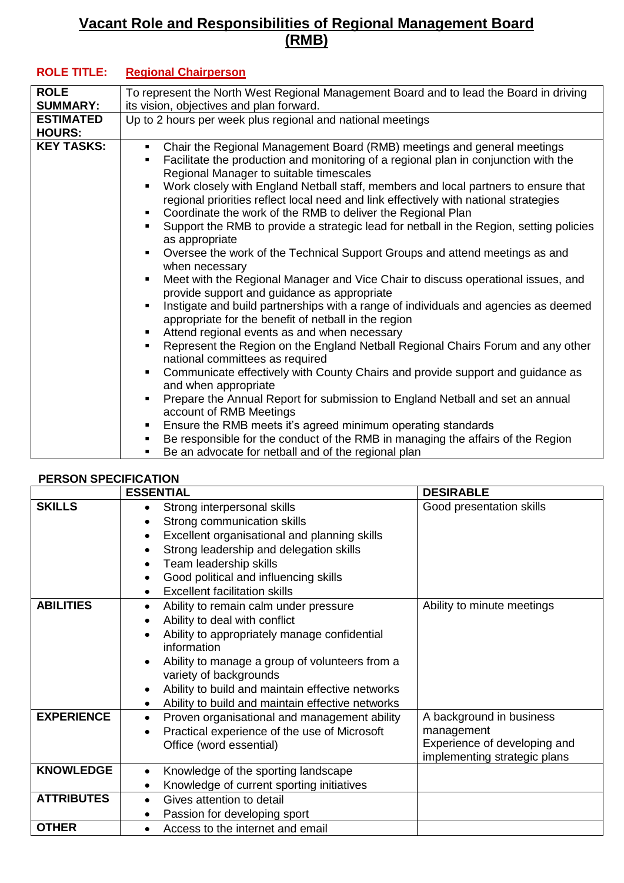## **Vacant Role and Responsibilities of Regional Management Board (RMB)**

| <b>ROLE</b>                       | To represent the North West Regional Management Board and to lead the Board in driving                                                                                                                                                                                                                                                                                                                                                                                                                                                                                                                                                                                                                                                                                                                                                                                                                                                                                                                                                                                                                                                                                                                                                                                                                                                                                                                                                                                                                                                                                                                                    |
|-----------------------------------|---------------------------------------------------------------------------------------------------------------------------------------------------------------------------------------------------------------------------------------------------------------------------------------------------------------------------------------------------------------------------------------------------------------------------------------------------------------------------------------------------------------------------------------------------------------------------------------------------------------------------------------------------------------------------------------------------------------------------------------------------------------------------------------------------------------------------------------------------------------------------------------------------------------------------------------------------------------------------------------------------------------------------------------------------------------------------------------------------------------------------------------------------------------------------------------------------------------------------------------------------------------------------------------------------------------------------------------------------------------------------------------------------------------------------------------------------------------------------------------------------------------------------------------------------------------------------------------------------------------------------|
| <b>SUMMARY:</b>                   | its vision, objectives and plan forward.                                                                                                                                                                                                                                                                                                                                                                                                                                                                                                                                                                                                                                                                                                                                                                                                                                                                                                                                                                                                                                                                                                                                                                                                                                                                                                                                                                                                                                                                                                                                                                                  |
| <b>ESTIMATED</b><br><b>HOURS:</b> | Up to 2 hours per week plus regional and national meetings                                                                                                                                                                                                                                                                                                                                                                                                                                                                                                                                                                                                                                                                                                                                                                                                                                                                                                                                                                                                                                                                                                                                                                                                                                                                                                                                                                                                                                                                                                                                                                |
| <b>KEY TASKS:</b>                 | Chair the Regional Management Board (RMB) meetings and general meetings<br>$\blacksquare$<br>Facilitate the production and monitoring of a regional plan in conjunction with the<br>Regional Manager to suitable timescales<br>Work closely with England Netball staff, members and local partners to ensure that<br>regional priorities reflect local need and link effectively with national strategies<br>Coordinate the work of the RMB to deliver the Regional Plan<br>٠<br>Support the RMB to provide a strategic lead for netball in the Region, setting policies<br>as appropriate<br>Oversee the work of the Technical Support Groups and attend meetings as and<br>when necessary<br>Meet with the Regional Manager and Vice Chair to discuss operational issues, and<br>٠<br>provide support and guidance as appropriate<br>Instigate and build partnerships with a range of individuals and agencies as deemed<br>appropriate for the benefit of netball in the region<br>Attend regional events as and when necessary<br>٠<br>Represent the Region on the England Netball Regional Chairs Forum and any other<br>٠<br>national committees as required<br>Communicate effectively with County Chairs and provide support and guidance as<br>and when appropriate<br>Prepare the Annual Report for submission to England Netball and set an annual<br>$\blacksquare$<br>account of RMB Meetings<br>Ensure the RMB meets it's agreed minimum operating standards<br>Be responsible for the conduct of the RMB in managing the affairs of the Region<br>Be an advocate for netball and of the regional plan<br>٠ |

### **ROLE TITLE: Regional Chairperson**

## **PERSON SPECIFICATION**

|                   | <b>ESSENTIAL</b>                                                                                                                                                                                                                                                                                                          | <b>DESIRABLE</b>                                                                                       |
|-------------------|---------------------------------------------------------------------------------------------------------------------------------------------------------------------------------------------------------------------------------------------------------------------------------------------------------------------------|--------------------------------------------------------------------------------------------------------|
| <b>SKILLS</b>     | Strong interpersonal skills<br>Strong communication skills<br>Excellent organisational and planning skills<br>Strong leadership and delegation skills<br>Team leadership skills<br>Good political and influencing skills                                                                                                  | Good presentation skills                                                                               |
|                   | <b>Excellent facilitation skills</b>                                                                                                                                                                                                                                                                                      |                                                                                                        |
| <b>ABILITIES</b>  | Ability to remain calm under pressure<br>Ability to deal with conflict<br>Ability to appropriately manage confidential<br>information<br>Ability to manage a group of volunteers from a<br>variety of backgrounds<br>Ability to build and maintain effective networks<br>Ability to build and maintain effective networks | Ability to minute meetings                                                                             |
| <b>EXPERIENCE</b> | Proven organisational and management ability<br>$\bullet$<br>Practical experience of the use of Microsoft<br>Office (word essential)                                                                                                                                                                                      | A background in business<br>management<br>Experience of developing and<br>implementing strategic plans |
| <b>KNOWLEDGE</b>  | Knowledge of the sporting landscape<br>$\bullet$<br>Knowledge of current sporting initiatives<br>٠                                                                                                                                                                                                                        |                                                                                                        |
| <b>ATTRIBUTES</b> | Gives attention to detail<br>$\bullet$                                                                                                                                                                                                                                                                                    |                                                                                                        |
|                   | Passion for developing sport<br>$\bullet$                                                                                                                                                                                                                                                                                 |                                                                                                        |
| <b>OTHER</b>      | Access to the internet and email<br>$\bullet$                                                                                                                                                                                                                                                                             |                                                                                                        |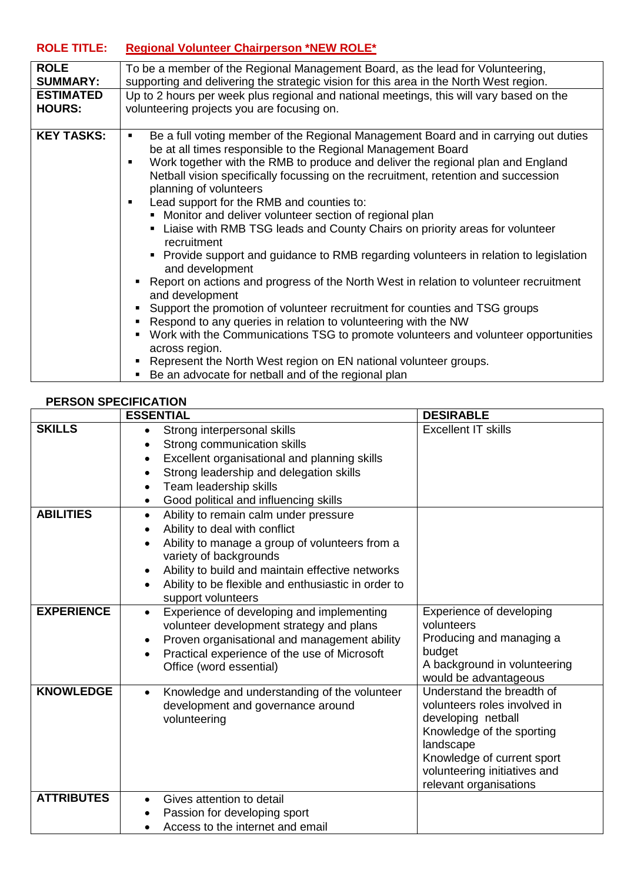## **ROLE TITLE: Regional Volunteer Chairperson \*NEW ROLE\***

| <b>ROLE</b>       | To be a member of the Regional Management Board, as the lead for Volunteering,                                                                                                                                                                                                                                                                                                                                                                                                                                                                                                                                                                                                                                                                                                                                                                                                                                                                                                                                                                                                                                                                                                                    |
|-------------------|---------------------------------------------------------------------------------------------------------------------------------------------------------------------------------------------------------------------------------------------------------------------------------------------------------------------------------------------------------------------------------------------------------------------------------------------------------------------------------------------------------------------------------------------------------------------------------------------------------------------------------------------------------------------------------------------------------------------------------------------------------------------------------------------------------------------------------------------------------------------------------------------------------------------------------------------------------------------------------------------------------------------------------------------------------------------------------------------------------------------------------------------------------------------------------------------------|
| <b>SUMMARY:</b>   | supporting and delivering the strategic vision for this area in the North West region.                                                                                                                                                                                                                                                                                                                                                                                                                                                                                                                                                                                                                                                                                                                                                                                                                                                                                                                                                                                                                                                                                                            |
| <b>ESTIMATED</b>  | Up to 2 hours per week plus regional and national meetings, this will vary based on the                                                                                                                                                                                                                                                                                                                                                                                                                                                                                                                                                                                                                                                                                                                                                                                                                                                                                                                                                                                                                                                                                                           |
| <b>HOURS:</b>     | volunteering projects you are focusing on.                                                                                                                                                                                                                                                                                                                                                                                                                                                                                                                                                                                                                                                                                                                                                                                                                                                                                                                                                                                                                                                                                                                                                        |
| <b>KEY TASKS:</b> | Be a full voting member of the Regional Management Board and in carrying out duties<br>٠<br>be at all times responsible to the Regional Management Board<br>Work together with the RMB to produce and deliver the regional plan and England<br>Netball vision specifically focussing on the recruitment, retention and succession<br>planning of volunteers<br>Lead support for the RMB and counties to:<br>$\blacksquare$<br>• Monitor and deliver volunteer section of regional plan<br>• Liaise with RMB TSG leads and County Chairs on priority areas for volunteer<br>recruitment<br>• Provide support and guidance to RMB regarding volunteers in relation to legislation<br>and development<br>Report on actions and progress of the North West in relation to volunteer recruitment<br>and development<br>Support the promotion of volunteer recruitment for counties and TSG groups<br>Respond to any queries in relation to volunteering with the NW<br>Work with the Communications TSG to promote volunteers and volunteer opportunities<br>across region.<br>Represent the North West region on EN national volunteer groups.<br>Be an advocate for nethall and of the regional plan |

#### $\blacksquare$   $\blacksquare$  Be an advocate for netball and of the regional plan

## **PERSON SPECIFICATION**

|                   | <b>ESSENTIAL</b>                                                                      | <b>DESIRABLE</b>                       |
|-------------------|---------------------------------------------------------------------------------------|----------------------------------------|
| <b>SKILLS</b>     | Strong interpersonal skills<br>$\bullet$                                              | <b>Excellent IT skills</b>             |
|                   | Strong communication skills                                                           |                                        |
|                   | Excellent organisational and planning skills<br>$\bullet$                             |                                        |
|                   | Strong leadership and delegation skills<br>$\bullet$                                  |                                        |
|                   | Team leadership skills<br>$\bullet$                                                   |                                        |
|                   | Good political and influencing skills<br>$\bullet$                                    |                                        |
| <b>ABILITIES</b>  | Ability to remain calm under pressure<br>$\bullet$                                    |                                        |
|                   | Ability to deal with conflict                                                         |                                        |
|                   | Ability to manage a group of volunteers from a<br>$\bullet$<br>variety of backgrounds |                                        |
|                   | Ability to build and maintain effective networks<br>$\bullet$                         |                                        |
|                   | Ability to be flexible and enthusiastic in order to                                   |                                        |
|                   | support volunteers                                                                    |                                        |
| <b>EXPERIENCE</b> | Experience of developing and implementing<br>$\bullet$                                | Experience of developing<br>volunteers |
|                   | volunteer development strategy and plans                                              | Producing and managing a               |
|                   | Proven organisational and management ability<br>$\bullet$                             | budget                                 |
|                   | Practical experience of the use of Microsoft<br>$\bullet$<br>Office (word essential)  | A background in volunteering           |
|                   |                                                                                       | would be advantageous                  |
| <b>KNOWLEDGE</b>  | Knowledge and understanding of the volunteer<br>$\bullet$                             | Understand the breadth of              |
|                   | development and governance around                                                     | volunteers roles involved in           |
|                   | volunteering                                                                          | developing netball                     |
|                   |                                                                                       | Knowledge of the sporting              |
|                   |                                                                                       | landscape                              |
|                   |                                                                                       | Knowledge of current sport             |
|                   |                                                                                       | volunteering initiatives and           |
|                   |                                                                                       | relevant organisations                 |
| <b>ATTRIBUTES</b> | Gives attention to detail<br>$\bullet$                                                |                                        |
|                   | Passion for developing sport                                                          |                                        |
|                   | Access to the internet and email                                                      |                                        |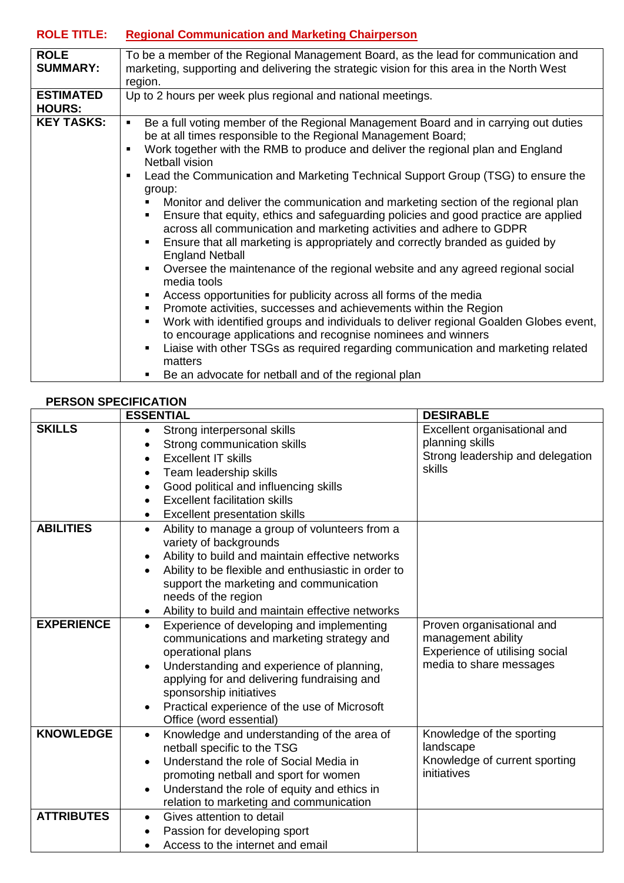# **ROLE TITLE: Regional Communication and Marketing Chairperson**

| <b>ROLE</b>       | To be a member of the Regional Management Board, as the lead for communication and                    |  |
|-------------------|-------------------------------------------------------------------------------------------------------|--|
| <b>SUMMARY:</b>   | marketing, supporting and delivering the strategic vision for this area in the North West             |  |
|                   | region.                                                                                               |  |
| <b>ESTIMATED</b>  | Up to 2 hours per week plus regional and national meetings.                                           |  |
| <b>HOURS:</b>     |                                                                                                       |  |
| <b>KEY TASKS:</b> | Be a full voting member of the Regional Management Board and in carrying out duties<br>$\blacksquare$ |  |
|                   | be at all times responsible to the Regional Management Board;                                         |  |
|                   | Work together with the RMB to produce and deliver the regional plan and England<br>$\blacksquare$     |  |
|                   | Netball vision                                                                                        |  |
|                   | Lead the Communication and Marketing Technical Support Group (TSG) to ensure the                      |  |
|                   | group:                                                                                                |  |
|                   | Monitor and deliver the communication and marketing section of the regional plan                      |  |
|                   |                                                                                                       |  |
|                   | Ensure that equity, ethics and safeguarding policies and good practice are applied                    |  |
|                   | across all communication and marketing activities and adhere to GDPR                                  |  |
|                   | Ensure that all marketing is appropriately and correctly branded as guided by                         |  |
|                   | <b>England Netball</b>                                                                                |  |
|                   | Oversee the maintenance of the regional website and any agreed regional social<br>$\blacksquare$      |  |
|                   | media tools                                                                                           |  |
|                   | Access opportunities for publicity across all forms of the media<br>٠                                 |  |
|                   | Promote activities, successes and achievements within the Region<br>٠                                 |  |
|                   | Work with identified groups and individuals to deliver regional Goalden Globes event,<br>٠            |  |
|                   |                                                                                                       |  |
|                   | to encourage applications and recognise nominees and winners                                          |  |
|                   | Liaise with other TSGs as required regarding communication and marketing related                      |  |
|                   | matters                                                                                               |  |
|                   | Be an advocate for netball and of the regional plan                                                   |  |

### **PERSON SPECIFICATION**

|                   | <b>ESSENTIAL</b>                                                 | <b>DESIRABLE</b>                                |
|-------------------|------------------------------------------------------------------|-------------------------------------------------|
| <b>SKILLS</b>     | Strong interpersonal skills<br>$\bullet$                         | Excellent organisational and                    |
|                   | Strong communication skills                                      | planning skills                                 |
|                   | <b>Excellent IT skills</b><br>$\bullet$                          | Strong leadership and delegation                |
|                   | Team leadership skills<br>٠                                      | skills                                          |
|                   | Good political and influencing skills                            |                                                 |
|                   | <b>Excellent facilitation skills</b><br>$\bullet$                |                                                 |
|                   | <b>Excellent presentation skills</b><br>٠                        |                                                 |
| <b>ABILITIES</b>  | Ability to manage a group of volunteers from a<br>$\bullet$      |                                                 |
|                   | variety of backgrounds                                           |                                                 |
|                   | Ability to build and maintain effective networks                 |                                                 |
|                   | Ability to be flexible and enthusiastic in order to<br>$\bullet$ |                                                 |
|                   | support the marketing and communication                          |                                                 |
|                   | needs of the region                                              |                                                 |
|                   | Ability to build and maintain effective networks<br>٠            |                                                 |
| <b>EXPERIENCE</b> | Experience of developing and implementing<br>$\bullet$           | Proven organisational and<br>management ability |
|                   | communications and marketing strategy and<br>operational plans   | Experience of utilising social                  |
|                   | Understanding and experience of planning,                        | media to share messages                         |
|                   | applying for and delivering fundraising and                      |                                                 |
|                   | sponsorship initiatives                                          |                                                 |
|                   | Practical experience of the use of Microsoft                     |                                                 |
|                   | Office (word essential)                                          |                                                 |
| <b>KNOWLEDGE</b>  | Knowledge and understanding of the area of<br>$\bullet$          | Knowledge of the sporting                       |
|                   | netball specific to the TSG                                      | landscape                                       |
|                   | Understand the role of Social Media in                           | Knowledge of current sporting                   |
|                   | promoting netball and sport for women                            | initiatives                                     |
|                   | Understand the role of equity and ethics in<br>$\bullet$         |                                                 |
|                   | relation to marketing and communication                          |                                                 |
| <b>ATTRIBUTES</b> | Gives attention to detail                                        |                                                 |
|                   | Passion for developing sport                                     |                                                 |
|                   | Access to the internet and email                                 |                                                 |